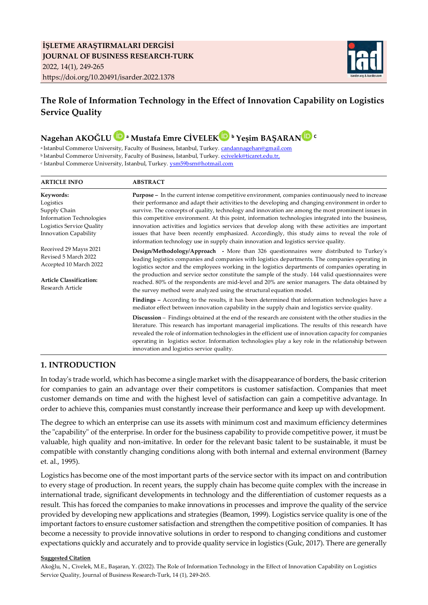

## **The Role of Information Technology in the Effect of Innovation Capability on Logistics Service Quality**

# **Nagehan AKOĞLU <sup>a</sup> Mustafa Emre CİVELE[K](http://www.orcid.org/0000-0002-2847-5126) <sup>b</sup> Yeşim BAŞARA[N](http://www.orcid.org/0000-0001-7601-6584) <sup>C</sup>**

a Istanbul Commerce University, Faculty of Business, Istanbul, Turkey. [candannagehan@gmail.com](mailto:candannagehan@gmail.com)

**b** Istanbul Commerce University, Faculty of Business, Istanbul, Turkey. **ecivelek@ticaret.edu.tr,** 

<sup>c</sup> Istanbul Commerce University, Istanbul, Turkey. <u>ysm59bsrn@hotmail.com</u>

| <b>ARTICLE INFO</b>                                                                                                             | <b>ABSTRACT</b>                                                                                                                                                                                                                                                                                                                                                                                                                                                                                                                                                                                                                                                                                                              |
|---------------------------------------------------------------------------------------------------------------------------------|------------------------------------------------------------------------------------------------------------------------------------------------------------------------------------------------------------------------------------------------------------------------------------------------------------------------------------------------------------------------------------------------------------------------------------------------------------------------------------------------------------------------------------------------------------------------------------------------------------------------------------------------------------------------------------------------------------------------------|
| Keywords:<br>Logistics<br>Supply Chain<br>Information Technologies<br>Logistics Service Quality<br><b>Innovation Capability</b> | <b>Purpose -</b> In the current intense competitive environment, companies continuously need to increase<br>their performance and adapt their activities to the developing and changing environment in order to<br>survive. The concepts of quality, technology and innovation are among the most prominent issues in<br>this competitive environment. At this point, information technologies integrated into the business,<br>innovation activities and logistics services that develop along with these activities are important<br>issues that have been recently emphasized. Accordingly, this study aims to reveal the role of<br>information technology use in supply chain innovation and logistics service quality. |
| Received 29 Mayıs 2021<br>Revised 5 March 2022<br>Accepted 10 March 2022<br><b>Article Classification:</b><br>Research Article  | Design/Methodology/Approach - More than 326 questionnaires were distributed to Turkey's<br>leading logistics companies and companies with logistics departments. The companies operating in<br>logistics sector and the employees working in the logistics departments of companies operating in<br>the production and service sector constitute the sample of the study. 144 valid questionnaires were<br>reached. 80% of the respondents are mid-level and 20% are senior managers. The data obtained by<br>the survey method were analyzed using the structural equation model.                                                                                                                                           |
|                                                                                                                                 | Findings – According to the results, it has been determined that information technologies have a<br>mediator effect between innovation capability in the supply chain and logistics service quality.                                                                                                                                                                                                                                                                                                                                                                                                                                                                                                                         |
|                                                                                                                                 | Discussion – Findings obtained at the end of the research are consistent with the other studies in the<br>literature. This research has important managerial implications. The results of this research have<br>revealed the role of information technologies in the efficient use of innovation capacity for companies<br>operating in logistics sector. Information technologies play a key role in the relationship between<br>innovation and logistics service quality.                                                                                                                                                                                                                                                  |

## **1. INTRODUCTION**

In today's trade world, which has become a single market with the disappearance of borders, the basic criterion for companies to gain an advantage over their competitors is customer satisfaction. Companies that meet customer demands on time and with the highest level of satisfaction can gain a competitive advantage. In order to achieve this, companies must constantly increase their performance and keep up with development.

The degree to which an enterprise can use its assets with minimum cost and maximum efficiency determines the "capability" of the enterprise. In order for the business capability to provide competitive power, it must be valuable, high quality and non-imitative. In order for the relevant basic talent to be sustainable, it must be compatible with constantly changing conditions along with both internal and external environment (Barney et. al., 1995).

Logistics has become one of the most important parts of the service sector with its impact on and contribution to every stage of production. In recent years, the supply chain has become quite complex with the increase in international trade, significant developments in technology and the differentiation of customer requests as a result. This has forced the companies to make innovations in processes and improve the quality of the service provided by developing new applications and strategies (Beamon, 1999). Logistics service quality is one of the important factors to ensure customer satisfaction and strengthen the competitive position of companies. It has become a necessity to provide innovative solutions in order to respond to changing conditions and customer expectations quickly and accurately and to provide quality service in logistics (Gulc, 2017). There are generally

#### **Suggested Citation**

Akoğlu, N., Civelek, M.E., Başaran, Y. (2022). The Role of Information Technology in the Effect of Innovation Capability on Logistics Service Quality, Journal of Business Research-Turk, 14 (1), 249-265.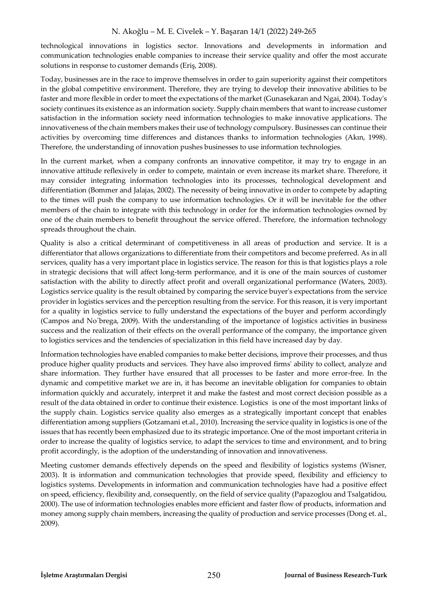technological innovations in logistics sector. Innovations and developments in information and communication technologies enable companies to increase their service quality and offer the most accurate solutions in response to customer demands (Eriş, 2008).

Today, businesses are in the race to improve themselves in order to gain superiority against their competitors in the global competitive environment. Therefore, they are trying to develop their innovative abilities to be faster and more flexible in order to meet the expectations of the market (Gunasekaran and Ngai, 2004). Today's society continues its existence as an information society. Supply chain members that want to increase customer satisfaction in the information society need information technologies to make innovative applications. The innovativeness of the chain members makes their use of technology compulsory. Businesses can continue their activities by overcoming time differences and distances thanks to information technologies (Akın, 1998). Therefore, the understanding of innovation pushes businesses to use information technologies.

In the current market, when a company confronts an innovative competitor, it may try to engage in an innovative attitude reflexively in order to compete, maintain or even increase its market share. Therefore, it may consider integrating information technologies into its processes, technological development and differentiation (Bommer and Jalajas, 2002). The necessity of being innovative in order to compete by adapting to the times will push the company to use information technologies. Or it will be inevitable for the other members of the chain to integrate with this technology in order for the information technologies owned by one of the chain members to benefit throughout the service offered. Therefore, the information technology spreads throughout the chain.

Quality is also a critical determinant of competitiveness in all areas of production and service. It is a differentiator that allows organizations to differentiate from their competitors and become preferred. As in all services, quality has a very important place in logistics service. The reason for this is that logistics plays a role in strategic decisions that will affect long-term performance, and it is one of the main sources of customer satisfaction with the ability to directly affect profit and overall organizational performance (Waters, 2003). Logistics service quality is the result obtained by comparing the service buyer's expectations from the service provider in logistics services and the perception resulting from the service. For this reason, it is very important for a quality in logistics service to fully understand the expectations of the buyer and perform accordingly (Campos and No´brega, 2009). With the understanding of the importance of logistics activities in business success and the realization of their effects on the overall performance of the company, the importance given to logistics services and the tendencies of specialization in this field have increased day by day.

Information technologies have enabled companies to make better decisions, improve their processes, and thus produce higher quality products and services. They have also improved firms' ability to collect, analyze and share information. They further have ensured that all processes to be faster and more error-free. In the dynamic and competitive market we are in, it has become an inevitable obligation for companies to obtain information quickly and accurately, interpret it and make the fastest and most correct decision possible as a result of the data obtained in order to continue their existence. Logistics is one of the most important links of the supply chain. Logistics service quality also emerges as a strategically important concept that enables differentiation among suppliers (Gotzamani et.al., 2010). Increasing the service quality in logistics is one of the issues that has recently been emphasized due to its strategic importance. One of the most important criteria in order to increase the quality of logistics service, to adapt the services to time and environment, and to bring profit accordingly, is the adoption of the understanding of innovation and innovativeness.

Meeting customer demands effectively depends on the speed and flexibility of logistics systems (Wisner, 2003). It is information and communication technologies that provide speed, flexibility and efficiency to logistics systems. Developments in information and communication technologies have had a positive effect on speed, efficiency, flexibility and, consequently, on the field of service quality (Papazoglou and Tsalgatidou, 2000). The use of information technologies enables more efficient and faster flow of products, information and money among supply chain members, increasing the quality of production and service processes (Dong et. al., 2009).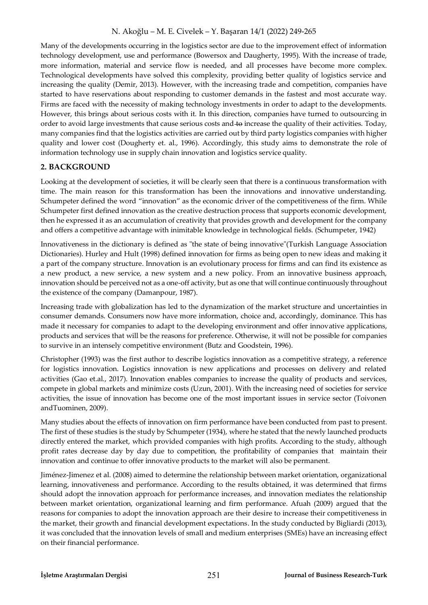Many of the developments occurring in the logistics sector are due to the improvement effect of information technology development, use and performance (Bowersox and Daugherty, 1995). With the increase of trade, more information, material and service flow is needed, and all processes have become more complex. Technological developments have solved this complexity, providing better quality of logistics service and increasing the quality (Demir, 2013). However, with the increasing trade and competition, companies have started to have reservations about responding to customer demands in the fastest and most accurate way. Firms are faced with the necessity of making technology investments in order to adapt to the developments. However, this brings about serious costs with it. In this direction, companies have turned to outsourcing in order to avoid large investments that cause serious costs and to increase the quality of their activities. Today, many companies find that the logistics activities are carried out by third party logistics companies with higher quality and lower cost (Dougherty et. al., 1996). Accordingly, this study aims to demonstrate the role of information technology use in supply chain innovation and logistics service quality.

### **2. BACKGROUND**

Looking at the development of societies, it will be clearly seen that there is a continuous transformation with time. The main reason for this transformation has been the innovations and innovative understanding. Schumpeter defined the word "innovation" as the economic driver of the competitiveness of the firm. While Schumpeter first defined innovation as the creative destruction process that supports economic development, then he expressed it as an accumulation of creativity that provides growth and development for the company and offers a competitive advantage with inimitable knowledge in technological fields. (Schumpeter, 1942)

Innovativeness in the dictionary is defined as "the state of being innovative"(Turkish Language Association Dictionaries). Hurley and Hult (1998) defined innovation for firms as being open to new ideas and making it a part of the company structure. Innovation is an evolutionary process for firms and can find its existence as a new product, a new service, a new system and a new policy. From an innovative business approach, innovation should be perceived not as a one-off activity, but as one that will continue continuously throughout the existence of the company (Damanpour, 1987).

Increasing trade with globalization has led to the dynamization of the market structure and uncertainties in consumer demands. Consumers now have more information, choice and, accordingly, dominance. This has made it necessary for companies to adapt to the developing environment and offer innovative applications, products and services that will be the reasons for preference. Otherwise, it will not be possible for companies to survive in an intensely competitive environment (Butz and Goodstein, 1996).

Christopher (1993) was the first author to describe logistics innovation as a competitive strategy, a reference for logistics innovation. Logistics innovation is new applications and processes on delivery and related activities (Gao et.al., 2017). Innovation enables companies to increase the quality of products and services, compete in global markets and minimize costs (Uzun, 2001). With the increasing need of societies for service activities, the issue of innovation has become one of the most important issues in service sector (Toivonen andTuominen, 2009).

Many studies about the effects of innovation on firm performance have been conducted from past to present. The first of these studies is the study by Schumpeter (1934), where he stated that the newly launched products directly entered the market, which provided companies with high profits. According to the study, although profit rates decrease day by day due to competition, the profitability of companies that maintain their innovation and continue to offer innovative products to the market will also be permanent.

Jiménez-Jimenez et al. (2008) aimed to determine the relationship between market orientation, organizational learning, innovativeness and performance. According to the results obtained, it was determined that firms should adopt the innovation approach for performance increases, and innovation mediates the relationship between market orientation, organizational learning and firm performance. Afuah (2009) argued that the reasons for companies to adopt the innovation approach are their desire to increase their competitiveness in the market, their growth and financial development expectations. In the study conducted by Bigliardi (2013), it was concluded that the innovation levels of small and medium enterprises (SMEs) have an increasing effect on their financial performance.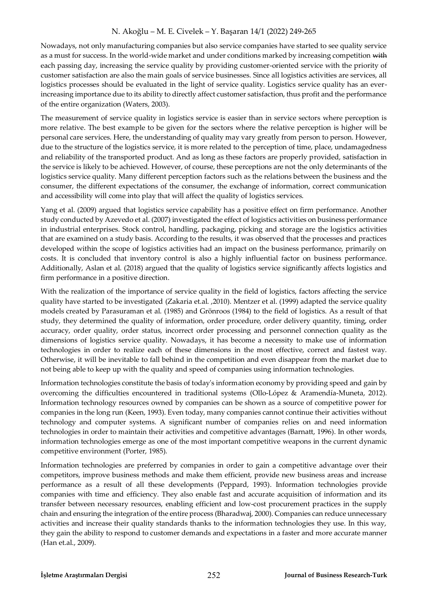Nowadays, not only manufacturing companies but also service companies have started to see quality service as a must for success. In the world-wide market and under conditions marked by increasing competition with each passing day, increasing the service quality by providing customer-oriented service with the priority of customer satisfaction are also the main goals of service businesses. Since all logistics activities are services, all logistics processes should be evaluated in the light of service quality. Logistics service quality has an everincreasing importance due to its ability to directly affect customer satisfaction, thus profit and the performance of the entire organization (Waters, 2003).

The measurement of service quality in logistics service is easier than in service sectors where perception is more relative. The best example to be given for the sectors where the relative perception is higher will be personal care services. Here, the understanding of quality may vary greatly from person to person. However, due to the structure of the logistics service, it is more related to the perception of time, place, undamagedness and reliability of the transported product. And as long as these factors are properly provided, satisfaction in the service is likely to be achieved. However, of course, these perceptions are not the only determinants of the logistics service quality. Many different perception factors such as the relations between the business and the consumer, the different expectations of the consumer, the exchange of information, correct communication and accessibility will come into play that will affect the quality of logistics services.

Yang et al. (2009) argued that logistics service capability has a positive effect on firm performance. Another study conducted by Azevedo et al. (2007) investigated the effect of logistics activities on business performance in industrial enterprises. Stock control, handling, packaging, picking and storage are the logistics activities that are examined on a study basis. According to the results, it was observed that the processes and practices developed within the scope of logistics activities had an impact on the business performance, primarily on costs. It is concluded that inventory control is also a highly influential factor on business performance. Additionally, Aslan et al. (2018) argued that the quality of logistics service significantly affects logistics and firm performance in a positive direction.

With the realization of the importance of service quality in the field of logistics, factors affecting the service quality have started to be investigated (Zakaria et.al. ,2010). Mentzer et al. (1999) adapted the service quality models created by Parasuraman et al. (1985) and Grönroos (1984) to the field of logistics. As a result of that study, they determined the quality of information, order procedure, order delivery quantity, timing, order accuracy, order quality, order status, incorrect order processing and personnel connection quality as the dimensions of logistics service quality. Nowadays, it has become a necessity to make use of information technologies in order to realize each of these dimensions in the most effective, correct and fastest way. Otherwise, it will be inevitable to fall behind in the competition and even disappear from the market due to not being able to keep up with the quality and speed of companies using information technologies.

Information technologies constitute the basis of today's information economy by providing speed and gain by overcoming the difficulties encountered in traditional systems (Ollo-López & Aramendía-Muneta, 2012). Information technology resources owned by companies can be shown as a source of competitive power for companies in the long run (Keen, 1993). Even today, many companies cannot continue their activities without technology and computer systems. A significant number of companies relies on and need information technologies in order to maintain their activities and competitive advantages (Barnatt, 1996). In other words, information technologies emerge as one of the most important competitive weapons in the current dynamic competitive environment (Porter, 1985).

Information technologies are preferred by companies in order to gain a competitive advantage over their competitors, improve business methods and make them efficient, provide new business areas and increase performance as a result of all these developments (Peppard, 1993). Information technologies provide companies with time and efficiency. They also enable fast and accurate acquisition of information and its transfer between necessary resources, enabling efficient and low-cost procurement practices in the supply chain and ensuring the integration of the entire process (Bharadwaj, 2000). Companies can reduce unnecessary activities and increase their quality standards thanks to the information technologies they use. In this way, they gain the ability to respond to customer demands and expectations in a faster and more accurate manner (Han et.al., 2009).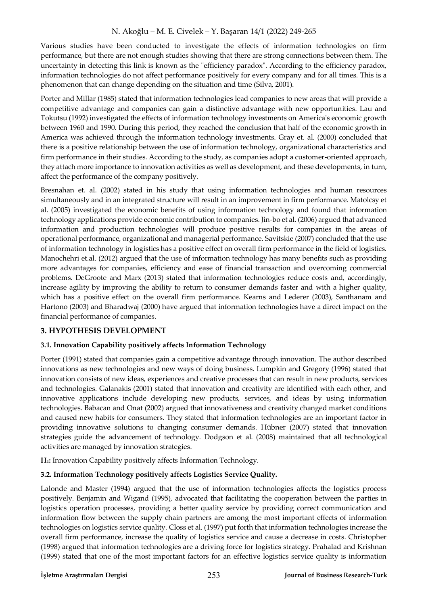Various studies have been conducted to investigate the effects of information technologies on firm performance, but there are not enough studies showing that there are strong connections between them. The uncertainty in detecting this link is known as the "efficiency paradox". According to the efficiency paradox, information technologies do not affect performance positively for every company and for all times. This is a phenomenon that can change depending on the situation and time (Silva, 2001).

Porter and Millar (1985) stated that information technologies lead companies to new areas that will provide a competitive advantage and companies can gain a distinctive advantage with new opportunities. Lau and Tokutsu (1992) investigated the effects of information technology investments on America's economic growth between 1960 and 1990. During this period, they reached the conclusion that half of the economic growth in America was achieved through the information technology investments. Gray et. al. (2000) concluded that there is a positive relationship between the use of information technology, organizational characteristics and firm performance in their studies. According to the study, as companies adopt a customer-oriented approach, they attach more importance to innovation activities as well as development, and these developments, in turn, affect the performance of the company positively.

Bresnahan et. al. (2002) stated in his study that using information technologies and human resources simultaneously and in an integrated structure will result in an improvement in firm performance. Matolcsy et al. (2005) investigated the economic benefits of using information technology and found that information technology applications provide economic contribution to companies. Jin-bo et al. (2006) argued that advanced information and production technologies will produce positive results for companies in the areas of operational performance, organizational and managerial performance. Savitskie (2007) concluded that the use of information technology in logistics has a positive effect on overall firm performance in the field of logistics. Manochehri et.al. (2012) argued that the use of information technology has many benefits such as providing more advantages for companies, efficiency and ease of financial transaction and overcoming commercial problems. DeGroote and Marx (2013) stated that information technologies reduce costs and, accordingly, increase agility by improving the ability to return to consumer demands faster and with a higher quality, which has a positive effect on the overall firm performance. Kearns and Lederer (2003), Santhanam and Hartono (2003) and Bharadwaj (2000) have argued that information technologies have a direct impact on the financial performance of companies.

## **3. HYPOTHESIS DEVELOPMENT**

## **3.1. Innovation Capability positively affects Information Technology**

Porter (1991) stated that companies gain a competitive advantage through innovation. The author described innovations as new technologies and new ways of doing business. Lumpkin and Gregory (1996) stated that innovation consists of new ideas, experiences and creative processes that can result in new products, services and technologies. Galanakis (2001) stated that innovation and creativity are identified with each other, and innovative applications include developing new products, services, and ideas by using information technologies. Babacan and Onat (2002) argued that innovativeness and creativity changed market conditions and caused new habits for consumers. They stated that information technologies are an important factor in providing innovative solutions to changing consumer demands. Hübner (2007) stated that innovation strategies guide the advancement of technology. Dodgson et al. (2008) maintained that all technological activities are managed by innovation strategies.

**H1:** Innovation Capability positively affects Information Technology.

## **3.2. Information Technology positively affects Logistics Service Quality.**

Lalonde and Master (1994) argued that the use of information technologies affects the logistics process positively. Benjamin and Wigand (1995), advocated that facilitating the cooperation between the parties in logistics operation processes, providing a better quality service by providing correct communication and information flow between the supply chain partners are among the most important effects of information technologies on logistics service quality. Closs et al. (1997) put forth that information technologies increase the overall firm performance, increase the quality of logistics service and cause a decrease in costs. Christopher (1998) argued that information technologies are a driving force for logistics strategy. Prahalad and Krishnan (1999) stated that one of the most important factors for an effective logistics service quality is information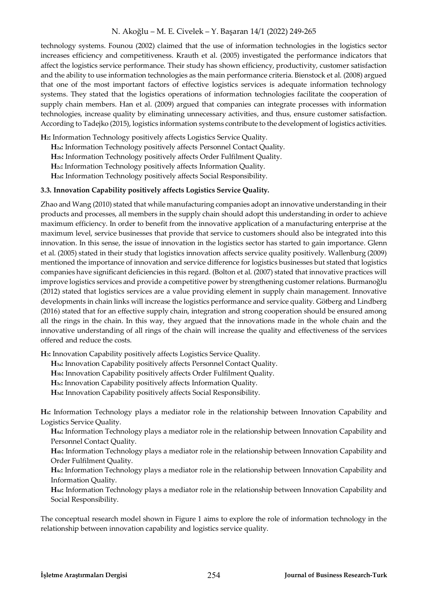technology systems. Founou (2002) claimed that the use of information technologies in the logistics sector increases efficiency and competitiveness. Krauth et al. (2005) investigated the performance indicators that affect the logistics service performance. Their study has shown efficiency, productivity, customer satisfaction and the ability to use information technologies as the main performance criteria. Bienstock et al. (2008) argued that one of the most important factors of effective logistics services is adequate information technology systems. They stated that the logistics operations of information technologies facilitate the cooperation of supply chain members. Han et al. (2009) argued that companies can integrate processes with information technologies, increase quality by eliminating unnecessary activities, and thus, ensure customer satisfaction. According to Tadejko (2015), logistics information systems contribute to the development of logistics activities.

**H2:** Information Technology positively affects Logistics Service Quality.

**H2a:** Information Technology positively affects Personnel Contact Quality.

**H2b:** Information Technology positively affects Order Fulfilment Quality.

**H2c:** Information Technology positively affects Information Quality.

**H2d:** Information Technology positively affects Social Responsibility.

#### **3.3. Innovation Capability positively affects Logistics Service Quality.**

Zhao and Wang (2010) stated that while manufacturing companies adopt an innovative understanding in their products and processes, all members in the supply chain should adopt this understanding in order to achieve maximum efficiency. In order to benefit from the innovative application of a manufacturing enterprise at the maximum level, service businesses that provide that service to customers should also be integrated into this innovation. In this sense, the issue of innovation in the logistics sector has started to gain importance. Glenn et al. (2005) stated in their study that logistics innovation affects service quality positively. Wallenburg (2009) mentioned the importance of innovation and service difference for logistics businesses but stated that logistics companies have significant deficiencies in this regard. (Bolton et al. (2007) stated that innovative practices will improve logistics services and provide a competitive power by strengthening customer relations. Burmanoğlu (2012) stated that logistics services are a value providing element in supply chain management. Innovative developments in chain links will increase the logistics performance and service quality. Götberg and Lindberg (2016) stated that for an effective supply chain, integration and strong cooperation should be ensured among all the rings in the chain. In this way, they argued that the innovations made in the whole chain and the innovative understanding of all rings of the chain will increase the quality and effectiveness of the services offered and reduce the costs.

**H3:** Innovation Capability positively affects Logistics Service Quality.

**H3a:** Innovation Capability positively affects Personnel Contact Quality.

**H3b:** Innovation Capability positively affects Order Fulfilment Quality.

**H3c:** Innovation Capability positively affects Information Quality.

**H3d:** Innovation Capability positively affects Social Responsibility.

**H4:** Information Technology plays a mediator role in the relationship between Innovation Capability and Logistics Service Quality.

**H4a:** Information Technology plays a mediator role in the relationship between Innovation Capability and Personnel Contact Quality.

**H4b:** Information Technology plays a mediator role in the relationship between Innovation Capability and Order Fulfilment Quality.

**H4c:** Information Technology plays a mediator role in the relationship between Innovation Capability and Information Quality.

**H4d:** Information Technology plays a mediator role in the relationship between Innovation Capability and Social Responsibility.

The conceptual research model shown in Figure 1 aims to explore the role of information technology in the relationship between innovation capability and logistics service quality.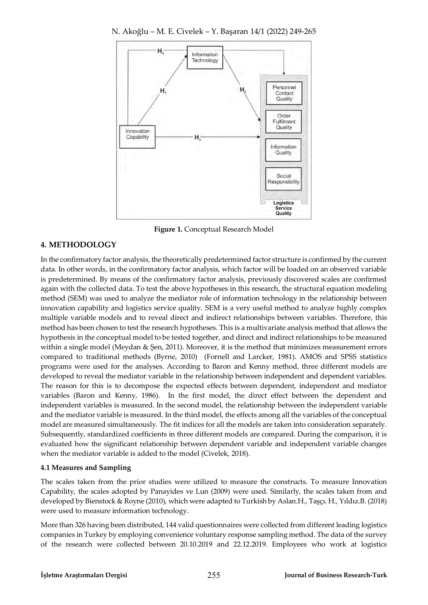N. Akoğlu – M. E. Civelek – Y. Başaran 14/1 (2022) 249-265



**Figure 1.** Conceptual Research Model

## **4. METHODOLOGY**

In the confirmatory factor analysis, the theoretically predetermined factor structure is confirmed by the current data. In other words, in the confirmatory factor analysis, which factor will be loaded on an observed variable is predetermined. By means of the confirmatory factor analysis, previously discovered scales are confirmed again with the collected data. To test the above hypotheses in this research, the structural equation modeling method (SEM) was used to analyze the mediator role of information technology in the relationship between innovation capability and logistics service quality. SEM is a very useful method to analyze highly complex multiple variable models and to reveal direct and indirect relationships between variables. Therefore, this method has been chosen to test the research hypotheses. This is a multivariate analysis method that allows the hypothesis in the conceptual model to be tested together, and direct and indirect relationships to be measured within a single model (Meydan & Şen, 2011). Moreover, it is the method that minimizes measurement errors compared to traditional methods (Byrne, 2010) (Fornell and Larcker, 1981). AMOS and SPSS statistics programs were used for the analyses. According to Baron and Kenny method, three different models are developed to reveal the mediator variable in the relationship between independent and dependent variables. The reason for this is to decompose the expected effects between dependent, independent and mediator variables (Baron and Kenny, 1986). In the first model, the direct effect between the dependent and independent variables is measured. In the second model, the relationship between the independent variable and the mediator variable is measured. In the third model, the effects among all the variables of the conceptual model are measured simultaneously. The fit indices for all the models are taken into consideration separately. Subsequently, standardized coefficients in three different models are compared. During the comparison, it is evaluated how the significant relationship between dependent variable and independent variable changes when the mediator variable is added to the model (Civelek, 2018).

## **4.1 Measures and Sampling**

The scales taken from the prior studies were utilized to measure the constructs. To measure Innovation Capability, the scales adopted by Panayides ve Lun (2009) were used. Similarly, the scales taken from and developed by Bienstock & Royne (2010), which were adapted to Turkish by Aslan.H., Taşçı. H., Yıldız.B. (2018) were used to measure information technology.

More than 326 having been distributed, 144 valid questionnaires were collected from different leading logistics companies in Turkey by employing convenience voluntary response sampling method. The data of the survey of the research were collected between 20.10.2019 and 22.12.2019. Employees who work at logistics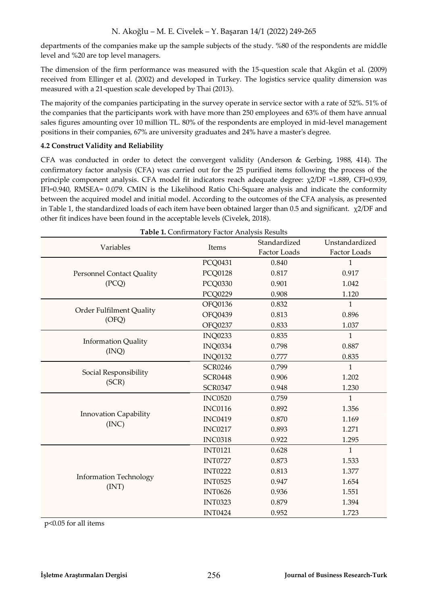departments of the companies make up the sample subjects of the study. %80 of the respondents are middle level and %20 are top level managers.

The dimension of the firm performance was measured with the 15-question scale that Akgün et al. (2009) received from Ellinger et al. (2002) and developed in Turkey. The logistics service quality dimension was measured with a 21-question scale developed by Thai (2013).

The majority of the companies participating in the survey operate in service sector with a rate of 52%. 51% of the companies that the participants work with have more than 250 employees and 63% of them have annual sales figures amounting over 10 million TL. 80% of the respondents are employed in mid-level management positions in their companies, 67% are university graduates and 24% have a master's degree.

### **4.2 Construct Validity and Reliability**

CFA was conducted in order to detect the convergent validity (Anderson & Gerbing, 1988, 414). The confirmatory factor analysis (CFA) was carried out for the 25 purified items following the process of the principle component analysis. CFA model fit indicators reach adequate degree: χ2/DF =1.889, CFI=0.939, IFI=0.940, RMSEA= 0.079. CMIN is the Likelihood Ratio Chi-Square analysis and indicate the conformity between the acquired model and initial model. According to the outcomes of the CFA analysis, as presented in Table 1, the standardized loads of each item have been obtained larger than 0.5 and significant.  $\chi$ 2/DF and other fit indices have been found in the acceptable levels (Civelek, 2018).

| Table 1. Confirmatory Factor Analysis Results |                |              |                |  |  |
|-----------------------------------------------|----------------|--------------|----------------|--|--|
| Variables                                     | Items          | Standardized | Unstandardized |  |  |
|                                               |                | Factor Loads | Factor Loads   |  |  |
|                                               | PCQ0431        | 0.840        | $\mathbf{1}$   |  |  |
| <b>Personnel Contact Quality</b>              | PCQ0128        | 0.817        | 0.917          |  |  |
| (PCQ)                                         | PCQ0330        | 0.901        | 1.042          |  |  |
|                                               | PCQ0229        | 0.908        | 1.120          |  |  |
|                                               | OFQ0136        | 0.832        | $\mathbf{1}$   |  |  |
| Order Fulfilment Quality<br>(OFQ)             | OFQ0439        | 0.813        | 0.896          |  |  |
|                                               | <b>OFQ0237</b> | 0.833        | 1.037          |  |  |
|                                               | <b>INQ0233</b> | 0.835        | 1              |  |  |
| <b>Information Quality</b><br>(INQ)           | <b>INQ0334</b> | 0.798        | 0.887          |  |  |
|                                               | <b>INQ0132</b> | 0.777        | 0.835          |  |  |
|                                               | <b>SCR0246</b> | 0.799        | 1              |  |  |
| Social Responsibility<br>(SCR)                | <b>SCR0448</b> | 0.906        | 1.202          |  |  |
|                                               | <b>SCR0347</b> | 0.948        | 1.230          |  |  |
|                                               | <b>INC0520</b> | 0.759        | $\mathbf{1}$   |  |  |
|                                               | <b>INC0116</b> | 0.892        | 1.356          |  |  |
| <b>Innovation Capability</b><br>(INC)         | <b>INC0419</b> | 0.870        | 1.169          |  |  |
|                                               | <b>INC0217</b> | 0.893        | 1.271          |  |  |
|                                               | <b>INC0318</b> | 0.922        | 1.295          |  |  |
|                                               | <b>INT0121</b> | 0.628        | $\mathbf{1}$   |  |  |
|                                               | <b>INT0727</b> | 0.873        | 1.533          |  |  |
|                                               | <b>INT0222</b> | 0.813        | 1.377          |  |  |
| <b>Information Technology</b><br>(INT)        | <b>INT0525</b> | 0.947        | 1.654          |  |  |
|                                               | <b>INT0626</b> | 0.936        | 1.551          |  |  |
|                                               | <b>INT0323</b> | 0.879        | 1.394          |  |  |
|                                               | <b>INT0424</b> | 0.952        | 1.723          |  |  |

p<0.05 for all items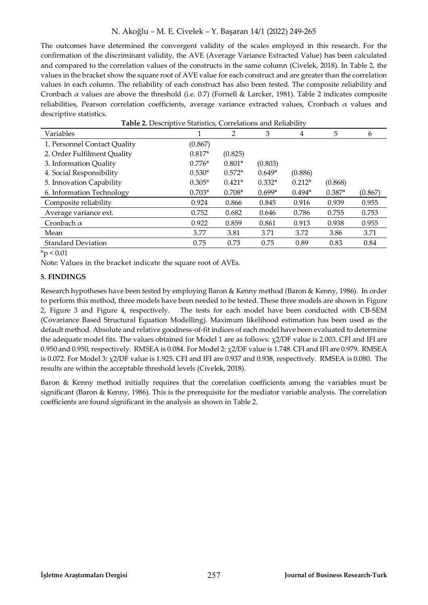The outcomes have determined the convergent validity of the scales employed in this research. For the confirmation of the discriminant validity, the AVE (Average Variance Extracted Value) has been calculated and compared to the correlation values of the constructs in the same column (Civelek, 2018). In Table 2, the values in the bracket show the square root of AVE value for each construct and are greater than the correlation values in each column. The reliability of each construct has also been tested. The composite reliability and Cronbach α values are above the threshold (i.e. 0.7) (Fornell & Larcker, 1981). Table 2 indicates composite reliabilities, Pearson correlation coefficients, average variance extracted values, Cronbach  $\alpha$  values and descriptive statistics.

| Table 2. Descriptive Statistics, Correlations and Reliability |          |          |          |          |         |
|---------------------------------------------------------------|----------|----------|----------|----------|---------|
|                                                               | 2        | 3        | 4        | 5        | 6       |
| (0.867)                                                       |          |          |          |          |         |
| $0.817*$                                                      | (0.825)  |          |          |          |         |
| $0.776*$                                                      | $0.801*$ | (0.803)  |          |          |         |
| $0.530*$                                                      | $0.572*$ | $0.649*$ | (0.886)  |          |         |
| $0.305*$                                                      | $0.421*$ | $0.332*$ | $0.212*$ | (0.868)  |         |
| $0.703*$                                                      | $0.708*$ | $0.699*$ | $0.494*$ | $0.387*$ | (0.867) |
| 0.924                                                         | 0.866    | 0.845    | 0.916    | 0.939    | 0.955   |
| 0.752                                                         | 0.682    | 0.646    | 0.786    | 0.755    | 0.753   |
| 0.922                                                         | 0.859    | 0.861    | 0.913    | 0.938    | 0.955   |
| 3.77                                                          | 3.81     | 3.71     | 3.72     | 3.86     | 3.71    |
| 0.75                                                          | 0.73     | 0.75     | 0.89     | 0.83     | 0.84    |
|                                                               |          |          |          |          |         |

 $*_{p}$  < 0.01

Note: Values in the bracket indicate the square root of AVEs.

#### **5. FINDINGS**

Research hypotheses have been tested by employing Baron & Kenny method (Baron & Kenny, 1986). In order to perform this method, three models have been needed to be tested. These three models are shown in Figure 2, Figure 3 and Figure 4, respectively. The tests for each model have been conducted with CB-SEM (Covariance Based Structural Equation Modelling). Maximum likelihood estimation has been used as the default method. Absolute and relative goodness-of-fit indices of each model have been evaluated to determine the adequate model fits. The values obtained for Model 1 are as follows: χ2/DF value is 2.003. CFI and IFI are 0.950 and 0.950, respectively. RMSEA is 0.084. For Model 2:  $\chi$ 2/DF value is 1.748. CFI and IFI are 0.979. RMSEA is 0.072. For Model 3: χ2/DF value is 1.925. CFI and IFI are 0.937 and 0.938, respectively. RMSEA is 0.080. The results are within the acceptable threshold levels (Civelek, 2018).

Baron & Kenny method initially requires that the correlation coefficients among the variables must be significant (Baron & Kenny, 1986). This is the prerequisite for the mediator variable analysis. The correlation coefficients are found significant in the analysis as shown in Table 2.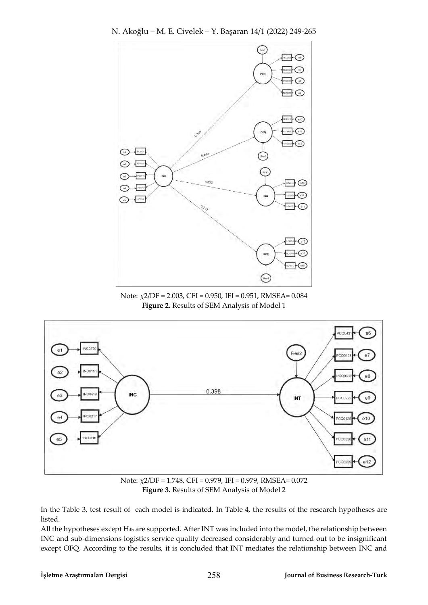



Note:  $χ2/DF = 2.003$ , CFI = 0.950, IFI = 0.951, RMSEA= 0.084 **Figure 2.** Results of SEM Analysis of Model 1



Note: χ2/DF = 1.748, CFI = 0.979, IFI = 0.979, RMSEA= 0.072 **Figure 3.** Results of SEM Analysis of Model 2

In the Table 3, test result of each model is indicated. In Table 4, the results of the research hypotheses are listed.

All the hypotheses except H4b are supported. After INT was included into the model, the relationship between INC and sub-dimensions logistics service quality decreased considerably and turned out to be insignificant except OFQ. According to the results, it is concluded that INT mediates the relationship between INC and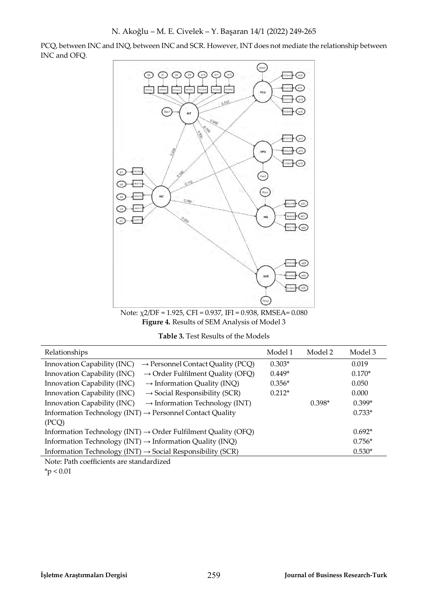PCQ, between INC and INQ, between INC and SCR. However, INT does not mediate the relationship between INC and OFQ.



Note: χ2/DF = 1.925, CFI = 0.937, IFI = 0.938, RMSEA= 0.080 **Figure 4.** Results of SEM Analysis of Model 3

| <b>Table 3.</b> Test Results of the Models |
|--------------------------------------------|
|--------------------------------------------|

| Relationships                                                                | Model 1  | Model 2  | Model 3  |
|------------------------------------------------------------------------------|----------|----------|----------|
| Innovation Capability (INC)<br>$\rightarrow$ Personnel Contact Quality (PCQ) | $0.303*$ |          | 0.019    |
| Innovation Capability (INC)<br>$\rightarrow$ Order Fulfilment Quality (OFQ)  | $0.449*$ |          | $0.170*$ |
| Innovation Capability (INC)<br>$\rightarrow$ Information Quality (INQ)       | $0.356*$ |          | 0.050    |
| Innovation Capability (INC)<br>$\rightarrow$ Social Responsibility (SCR)     | $0.212*$ |          | 0.000    |
| Innovation Capability (INC)<br>$\rightarrow$ Information Technology (INT)    |          | $0.398*$ | $0.399*$ |
| Information Technology (INT) $\rightarrow$ Personnel Contact Quality         |          |          | $0.733*$ |
| (PCQ)                                                                        |          |          |          |
| Information Technology (INT) $\rightarrow$ Order Fulfilment Quality (OFQ)    |          |          | $0.692*$ |
| Information Technology (INT) $\rightarrow$ Information Quality (INQ)         |          |          | $0.756*$ |
| Information Technology (INT) $\rightarrow$ Social Responsibility (SCR)       |          |          | $0.530*$ |
| Note: Path coefficients are standardized                                     |          |          |          |

 $*$ p < 0.01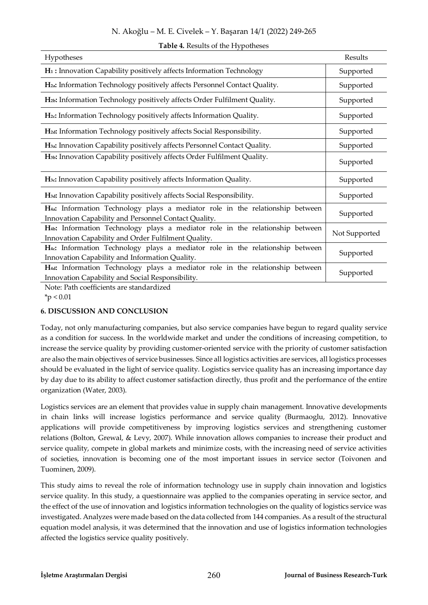|  | N. Akoğlu – M. E. Civelek – Y. Başaran 14/1 (2022) 249-265 |  |
|--|------------------------------------------------------------|--|
|--|------------------------------------------------------------|--|

| Hypotheses                                                                                                                                         | Results       |
|----------------------------------------------------------------------------------------------------------------------------------------------------|---------------|
| H <sub>1</sub> : Innovation Capability positively affects Information Technology                                                                   | Supported     |
| H <sub>2a</sub> : Information Technology positively affects Personnel Contact Quality.                                                             | Supported     |
| H <sub>2b</sub> : Information Technology positively affects Order Fulfilment Quality.                                                              | Supported     |
| H <sub>2</sub> . Information Technology positively affects Information Quality.                                                                    | Supported     |
| H <sub>2d</sub> : Information Technology positively affects Social Responsibility.                                                                 | Supported     |
| H <sub>3a</sub> : Innovation Capability positively affects Personnel Contact Quality.                                                              | Supported     |
| H3b: Innovation Capability positively affects Order Fulfilment Quality.                                                                            | Supported     |
| H <sub>3</sub> c: Innovation Capability positively affects Information Quality.                                                                    | Supported     |
| H <sub>3d</sub> : Innovation Capability positively affects Social Responsibility.                                                                  | Supported     |
| H <sub>4a</sub> : Information Technology plays a mediator role in the relationship between<br>Innovation Capability and Personnel Contact Quality. | Supported     |
| H <sub>4b</sub> : Information Technology plays a mediator role in the relationship between<br>Innovation Capability and Order Fulfilment Quality.  | Not Supported |
| H <sub>4</sub> : Information Technology plays a mediator role in the relationship between<br>Innovation Capability and Information Quality.        | Supported     |
| H4d: Information Technology plays a mediator role in the relationship between<br>Innovation Capability and Social Responsibility.                  | Supported     |
| Note: Path coefficients are standardized                                                                                                           |               |

#### **Table 4.** Results of the Hypotheses

 $*_{p} < 0.01$ 

## **6. DISCUSSION AND CONCLUSION**

Today, not only manufacturing companies, but also service companies have begun to regard quality service as a condition for success. In the worldwide market and under the conditions of increasing competition, to increase the service quality by providing customer-oriented service with the priority of customer satisfaction are also the main objectives of service businesses. Since all logistics activities are services, all logistics processes should be evaluated in the light of service quality. Logistics service quality has an increasing importance day by day due to its ability to affect customer satisfaction directly, thus profit and the performance of the entire organization (Water, 2003).

Logistics services are an element that provides value in supply chain management. Innovative developments in chain links will increase logistics performance and service quality (Burmaoglu, 2012). Innovative applications will provide competitiveness by improving logistics services and strengthening customer relations (Bolton, Grewal, & Levy, 2007). While innovation allows companies to increase their product and service quality, compete in global markets and minimize costs, with the increasing need of service activities of societies, innovation is becoming one of the most important issues in service sector (Toivonen and Tuominen, 2009).

This study aims to reveal the role of information technology use in supply chain innovation and logistics service quality. In this study, a questionnaire was applied to the companies operating in service sector, and the effect of the use of innovation and logistics information technologies on the quality of logistics service was investigated. Analyzes were made based on the data collected from 144 companies. As a result of the structural equation model analysis, it was determined that the innovation and use of logistics information technologies affected the logistics service quality positively.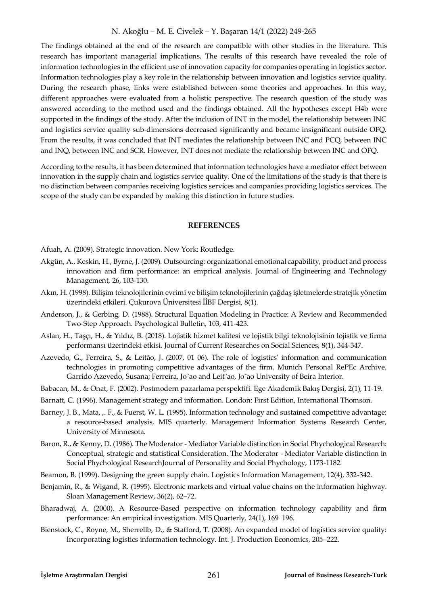The findings obtained at the end of the research are compatible with other studies in the literature. This research has important managerial implications. The results of this research have revealed the role of information technologies in the efficient use of innovation capacity for companies operating in logistics sector. Information technologies play a key role in the relationship between innovation and logistics service quality. During the research phase, links were established between some theories and approaches. In this way, different approaches were evaluated from a holistic perspective. The research question of the study was answered according to the method used and the findings obtained. All the hypotheses except H4b were supported in the findings of the study. After the inclusion of INT in the model, the relationship between INC and logistics service quality sub-dimensions decreased significantly and became insignificant outside OFQ. From the results, it was concluded that INT mediates the relationship between INC and PCQ, between INC and INQ, between INC and SCR. However, INT does not mediate the relationship between INC and OFQ.

According to the results, it has been determined that information technologies have a mediator effect between innovation in the supply chain and logistics service quality. One of the limitations of the study is that there is no distinction between companies receiving logistics services and companies providing logistics services. The scope of the study can be expanded by making this distinction in future studies.

#### **REFERENCES**

Afuah, A. (2009). Strategic innovation. New York: Routledge.

- Akgün, A., Keskin, H., Byrne, J. (2009). Outsourcing: organizational emotional capability, product and process innovation and firm performance: an emprical analysis. Journal of Engineering and Technology Management, 26, 103-130.
- Akın, H. (1998). Bilişim teknolojilerinin evrimi ve bilişim teknolojilerinin çağdaş işletmelerde stratejik yönetim üzerindeki etkileri. Çukurova Üniversitesi İİBF Dergisi, 8(1).
- Anderson, J., & Gerbing, D. (1988). Structural Equation Modeling in Practice: A Review and Recommended Two-Step Approach. Psychological Bulletin, 103, 411-423.
- Aslan, H., Taşçı, H., & Yıldız, B. (2018). Lojistik hizmet kalitesi ve lojistik bilgi teknolojisinin lojistik ve firma performansı üzerindeki etkisi. Journal of Current Researches on Social Sciences, 8(1), 344-347.
- Azevedo, G., Ferreira, S., & Leitão, J. (2007, 01 06). The role of logistics' information and communication technologies in promoting competitive advantages of the firm. Munich Personal RePEc Archive. Garrido Azevedo, Susana; Ferreira, Jo˜ao and Leit˜ao, Jo˜ao University of Beira Interior.
- Babacan, M., & Onat, F. (2002). Postmodern pazarlama perspektifi. Ege Akademik Bakış Dergisi, 2(1), 11-19.
- Barnatt, C. (1996). Management strategy and information. London: First Edition, International Thomson.
- Barney, J. B., Mata, ,. F., & Fuerst, W. L. (1995). Information technology and sustained competitive advantage: a resource-based analysis, MIS quarterly. Management Information Systems Research Center, University of Minnesota.
- Baron, R., & Kenny, D. (1986). The Moderator Mediator Variable distinction in Social Phychological Research: Conceptual, strategic and statistical Consideration. The Moderator - Mediator Variable distinction in Social Phychological ResearchJournal of Personality and Social Phychology, 1173-1182.
- Beamon, B. (1999). Designing the green supply chain. Logistics Information Management, 12(4), 332-342.
- Benjamin, R., & Wigand, R. (1995). Electronic markets and virtual value chains on the information highway. Sloan Management Review, 36(2), 62–72.
- Bharadwaj, A. (2000). A Resource-Based perspective on information technology capability and firm performance: An empirical investigation. MIS Quarterly, 24(1), 169−196.
- Bienstock, C., Royne, M., Sherrellb, D., & Stafford, T. (2008). An expanded model of logistics service quality: Incorporating logistics information technology. Int. J. Production Economics, 205–222.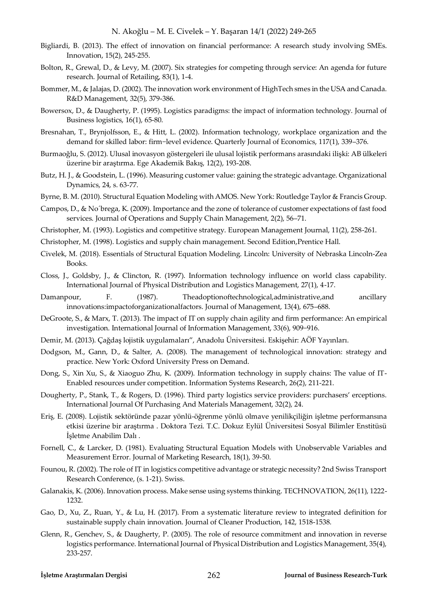- Bigliardi, B. (2013). The effect of innovation on financial performance: A research study involving SMEs. Innovation, 15(2), 245-255.
- Bolton, R., Grewal, D., & Levy, M. (2007). Six strategies for competing through service: An agenda for future research. Journal of Retailing, 83(1), 1-4.
- Bommer, M., & Jalajas, D. (2002). The innovation work environment of HighTech smes in the USA and Canada. R&D Management, 32(5), 379-386.
- Bowersox, D., & Daugherty, P. (1995). Logistics paradigms: the impact of information technology. Journal of Business logistics, 16(1), 65-80.
- Bresnahan, T., Brynjolfsson, E., & Hitt, L. (2002). Information technology, workplace organization and the demand for skilled labor: firm−level evidence. Quarterly Journal of Economics, 117(1), 339–376.
- Burmaoğlu, S. (2012). Ulusal inovasyon göstergeleri ile ulusal lojistik performans arasındaki ilişki: AB ülkeleri üzerine bir araştırma. Ege Akademik Bakış, 12(2), 193-208.
- Butz, H. J., & Goodstein, L. (1996). Measuring customer value: gaining the strategic advantage. Organizational Dynamics, 24, s. 63-77.
- Byrne, B. M. (2010). Structural Equation Modeling with AMOS. New York: Routledge Taylor & Francis Group.
- Campos, D., & No´brega, K. (2009). Importance and the zone of tolerance of customer expectations of fast food services. Journal of Operations and Supply Chain Management, 2(2), 56–71.
- Christopher, M. (1993). Logistics and competitive strategy. European Management Journal, 11(2), 258-261.
- Christopher, M. (1998). Logistics and supply chain management. Second Edition,Prentice Hall.
- Civelek, M. (2018). Essentials of Structural Equation Modeling. Lincoln: University of Nebraska Lincoln-Zea Books.
- Closs, J., Goldsby, J., & Clincton, R. (1997). Information technology influence on world class capability. International Journal of Physical Distribution and Logistics Management, 27(1), 4-17.
- Damanpour, F. (1987). Theadoptionoftechnological, administrative, and ancillary innovations:impactoforganizationalfactors. Journal of Management, 13(4), 675–688.
- DeGroote, S., & Marx, T. (2013). The impact of IT on supply chain agility and firm performance: An empirical investigation. International Journal of Information Management, 33(6), 909−916.
- Demir, M. (2013). Çağdaş lojistik uygulamaları", Anadolu Üniversitesi. Eskişehir: AÖF Yayınları.
- Dodgson, M., Gann, D., & Salter, A. (2008). The management of technological innovation: strategy and practice. New York: Oxford University Press on Demand.
- Dong, S., Xin Xu, S., & Xiaoguo Zhu, K. (2009). Information technology in supply chains: The value of IT-Enabled resources under competition. Information Systems Research, 26(2), 211-221.
- Dougherty, P., Stank, T., & Rogers, D. (1996). Third party logistics service providers: purchasers' erceptions. International Journal Of Purchasing And Materials Management, 32(2), 24.
- Eriş, E. (2008). Lojistik sektöründe pazar yönlü-öğrenme yönlü olmave yenilikçiliğin işletme performansına etkisi üzerine bir araştırma . Doktora Tezi. T.C. Dokuz Eylül Üniversitesi Sosyal Bilimler Enstitüsü İşletme Anabilim Dalı .
- Fornell, C., & Larcker, D. (1981). Evaluating Structural Equation Models with Unobservable Variables and Measurement Error. Journal of Marketing Research, 18(1), 39-50.
- Founou, R. (2002). The role of IT in logistics competitive advantage or strategic necessity? 2nd Swiss Transport Research Conference, (s. 1-21). Swiss.
- Galanakis, K. (2006). Innovation process. Make sense using systems thinking. TECHNOVATION, 26(11), 1222- 1232.
- Gao, D., Xu, Z., Ruan, Y., & Lu, H. (2017). From a systematic literature review to integrated definition for sustainable supply chain innovation. Journal of Cleaner Production, 142, 1518-1538.
- Glenn, R., Genchev, S., & Daugherty, P. (2005). The role of resource commitment and innovation in reverse logistics performance. International Journal of Physical Distribution and Logistics Management, 35(4), 233-257.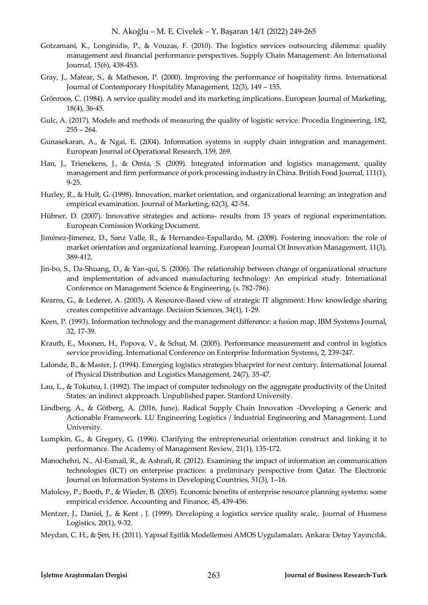- Gotzamani, K., Longinidis, P., & Vouzas, F. (2010). The logistics services outsourcing dilemma: quality management and financial performance perspectives. Supply Chain Management: An International Journal, 15(6), 438-453.
- Gray, J., Matear, S., & Matheson, P. (2000). Improving the performance of hospitality firms. International Journal of Contemporary Hospitality Management, 12(3), 149 – 155.
- Grönroos, C. (1984). A service quality model and its marketing implications. European Journal of Marketing, 18(4), 36-45.
- Gulc, A. (2017). Models and methods of measuring the quality of logistic service. Procedia Engineering, 182,  $255 - 264.$
- Gunasekaran, A., & Ngai, E. (2004). Information systems in supply chain integration and management. European Journal of Operational Research, 159, 269.
- Han, J., Trienekens, J., & Omta, S. (2009). Integrated information and logistics management, quality management and firm performance of pork processing industry in China. British Food Journal, 111(1), 9-25.
- Hurley, R., & Hult, G. (1998). Innovation, market orientation, and organizational learning: an integration and empirical examination. Journal of Marketing, 62(3), 42-54.
- Hübner, D. (2007). Innovative strategies and actions- results from 15 years of regional experimentation. European Comission Working Document.
- Jiménez-Jimenez, D., Sanz Valle, R., & Hernandez-Espallardo, M. (2008). Fostering innovation: the role of market orientation and organizational learning. European Journal Of Innovation Management, 11(3), 389-412.
- Jin-bo, S., Da-Shuang, D., & Yan-qui, S. (2006). The relationship between change of organizational structure and implementation of advanced manufacturing technology: An empirical study. International Conference on Management Science & Engineering, (s. 782-786).
- Kearns, G., & Lederer, A. (2003). A Resource-Based view of strategic IT alignment: How knowledge sharing creates competitive advantage. Decision Sciences, 34(1), 1-29.
- Keen, P. (1993). Information technology and the management difference: a fusion map. IBM Systems Journal, 32, 17-39.
- Krauth, E., Moonen, H., Popova, V., & Schut, M. (2005). Performance measurement and control in logistics service providing. International Conference on Enterprise Information Systems, 2, 239-247.
- Lalonde, B., & Master, J. (1994). Emerging logistics strategies blueprint for next century. International Journal of Physical Distribution and Logistics Management, 24(7), 35-47.
- Lau, L., & Tokutsu, I. (1992). The impact of computer technology on the aggregate productivity of the United States: an indirect akpproach. Unpublished paper. Stanford University.
- Lindberg, A., & Götberg, A. (2016, June). Radical Supply Chain Innovation -Developing a Generic and Actionable Framework. LU Engineering Logistics / Industrial Engineering and Management. Lund University.
- Lumpkin, G., & Gregory, G. (1996). Clarifying the entrepreneurial orientation construct and linking it to performance. The Academy of Management Review, 21(1), 135-172.
- Manochehri, N., Al-Esmail, R., & Ashrafi, R. (2012). Examining the impact of information an communication technologies (ICT) on enterprise practices: a preliminary perspective from Qatar. The Electronic Journal on Information Systems in Developing Countries, 51(3), 1–16.
- Matolcsy, P., Booth, P., & Wieder, B. (2005). Economic benefits of enterprise resource planning systems: some empirical evidence. Accounting and Finance, 45, 439-456.
- Mentzer, J., Daniel, J., & Kent , J. (1999). Developing a logistics service quality scale,. Journal of Husmess Logistics, 20(1), 9-32.
- Meydan, C. H., & Şen, H. (2011). Yapısal Eşitlik Modellemesi AMOS Uygulamaları. Ankara: Detay Yayıncılık.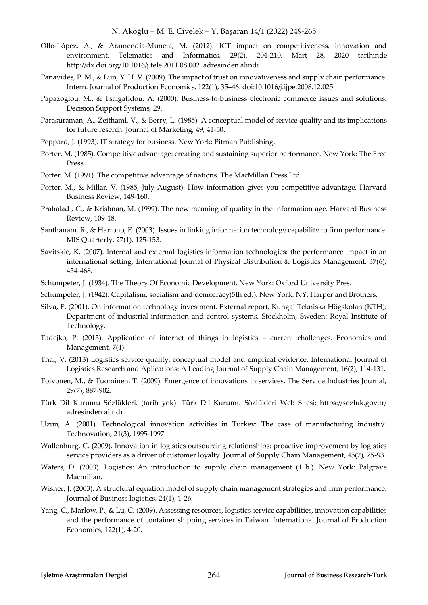- Ollo-López, A., & Aramendía-Muneta, M. (2012). ICT impact on competitiveness, innovation and environment. Telematics and Informatics, 29(2), 204-210. Mart 28, 2020 tarihinde http://dx.doi.org/10.1016/j.tele.2011.08.002. adresinden alındı
- Panayides, P. M., & Lun, Y. H. V. (2009). The impact of trust on innovativeness and supply chain performance. Intern. Journal of Production Economics, 122(1), 35–46. doi:10.1016/j.ijpe.2008.12.025
- Papazoglou, M., & Tsalgatidou, A. (2000). Business-to-business electronic commerce issues and solutions. Decision Support Systems, 29.
- Parasuraman, A., Zeithaml, V., & Berry, L. (1985). A conceptual model of service quality and its implications for future reserch. Journal of Marketing, 49, 41-50.
- Peppard, J. (1993). IT strategy for business. New York: Pitman Publishing.
- Porter, M. (1985). Competitive advantage: creating and sustaining superior performance. New York: The Free Press.
- Porter, M. (1991). The competitive advantage of nations. The MacMillan Press Ltd.
- Porter, M., & Millar, V. (1985, July-August). How information gives you competitive advantage. Harvard Business Review, 149-160.
- Prahalad , C., & Krishnan, M. (1999). The new meaning of quality in the information age. Harvard Business Review, 109-18.
- Santhanam, R., & Hartono, E. (2003). Issues in linking information technology capability to firm performance. MIS Quarterly, 27(1), 125-153.
- Savitskie, K. (2007). Internal and external logistics information technologies: the performance impact in an international setting. International Journal of Physical Distribution & Logistics Management, 37(6), 454-468.
- Schumpeter, J. (1934). The Theory Of Economic Development. New York: Oxford University Pres.
- Schumpeter, J. (1942). Capitalism, socialism and democracy(5th ed.). New York: NY: Harper and Brothers.
- Silva, E. (2001). On information technology investment. External report, Kungal Tekniska Högskolan (KTH), Department of industrial information and control systems. Stockholm, Sweden: Royal Institute of Technology.
- Tadejko, P. (2015). Application of internet of things in logistics current challenges. Economics and Management, 7(4).
- Thai, V. (2013) Logistics service quality: conceptual model and emprical evidence. International Journal of Logistics Research and Aplications: A Leading Journal of Supply Chain Management, 16(2), 114-131.
- Toivonen, M., & Tuominen, T. (2009). Emergence of innovations in services. The Service Industries Journal, 29(7), 887-902.
- Türk Dil Kurumu Sözlükleri. (tarih yok). Türk Dil Kurumu Sözlükleri Web Sitesi: https://sozluk.gov.tr/ adresinden alındı
- Uzun, A. (2001). Technological innovation activities in Turkey: The case of manufacturing industry. Technovation, 21(3), 1995-1997.
- Wallenburg, C. (2009). Innovation in logistics outsourcing relationships: proactive improvement by logistics service providers as a driver of customer loyalty. Journal of Supply Chain Management, 45(2), 75-93.
- Waters, D. (2003). Logistics: An introduction to supply chain management (1 b.). New York: Palgrave Macmillan.
- Wisner, J. (2003). A structural equation model of supply chain management strategies and firm performance. Journal of Business logistics, 24(1), 1-26.
- Yang, C., Marlow, P., & Lu, C. (2009). Assessing resources, logistics service capabilities, innovation capabilities and the performance of container shipping services in Taiwan. International Journal of Production Economics, 122(1), 4-20.